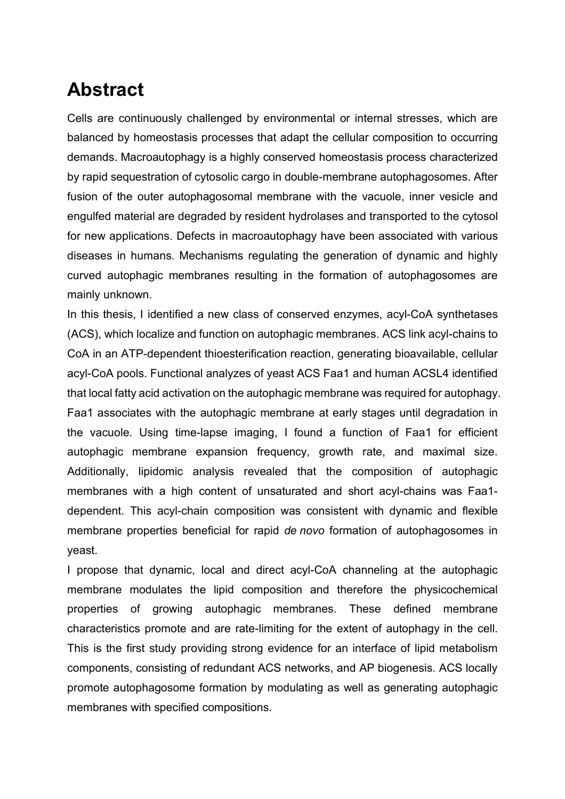## **Abstract**

Cells are continuously challenged by environmental or internal stresses, which are balanced by homeostasis processes that adapt the cellular composition to occurring demands. Macroautophagy is a highly conserved homeostasis process characterized by rapid sequestration of cytosolic cargo in double-membrane autophagosomes. After fusion of the outer autophagosomal membrane with the vacuole, inner vesicle and engulfed material are degraded by resident hydrolases and transported to the cytosol for new applications. Defects in macroautophagy have been associated with various diseases in humans. Mechanisms regulating the generation of dynamic and highly curved autophagic membranes resulting in the formation of autophagosomes are mainly unknown.

In this thesis, I identified a new class of conserved enzymes, acyl-CoA synthetases (ACS), which localize and function on autophagic membranes. ACS link acyl-chains to CoA in an ATP-dependent thioesterification reaction, generating bioavailable, cellular acyl-CoA pools. Functional analyzes of yeast ACS Faa1 and human ACSL4 identified that local fatty acid activation on the autophagic membrane was required for autophagy. Faa1 associates with the autophagic membrane at early stages until degradation in the vacuole. Using time-lapse imaging, I found a function of Faa1 for efficient autophagic membrane expansion frequency, growth rate, and maximal size. Additionally, lipidomic analysis revealed that the composition of autophagic membranes with a high content of unsaturated and short acyl-chains was Faa1 dependent. This acyl-chain composition was consistent with dynamic and flexible membrane properties beneficial for rapid *de novo* formation of autophagosomes in yeast.

I propose that dynamic, local and direct acyl-CoA channeling at the autophagic membrane modulates the lipid composition and therefore the physicochemical properties of growing autophagic membranes. These defined membrane characteristics promote and are rate-limiting for the extent of autophagy in the cell. This is the first study providing strong evidence for an interface of lipid metabolism components, consisting of redundant ACS networks, and AP biogenesis. ACS locally promote autophagosome formation by modulating as well as generating autophagic membranes with specified compositions.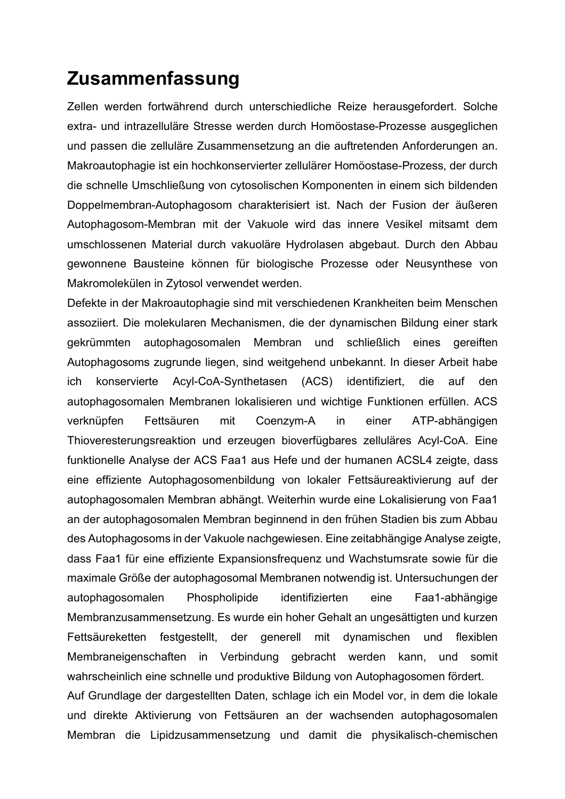## **Zusammenfassung**

Zellen werden fortwährend durch unterschiedliche Reize herausgefordert. Solche extra- und intrazelluläre Stresse werden durch Homöostase-Prozesse ausgeglichen und passen die zelluläre Zusammensetzung an die auftretenden Anforderungen an. Makroautophagie ist ein hochkonservierter zellulärer Homöostase-Prozess, der durch die schnelle Umschließung von cytosolischen Komponenten in einem sich bildenden Doppelmembran-Autophagosom charakterisiert ist. Nach der Fusion der äußeren Autophagosom-Membran mit der Vakuole wird das innere Vesikel mitsamt dem umschlossenen Material durch vakuoläre Hydrolasen abgebaut. Durch den Abbau gewonnene Bausteine können für biologische Prozesse oder Neusynthese von Makromolekülen in Zytosol verwendet werden.

Defekte in der Makroautophagie sind mit verschiedenen Krankheiten beim Menschen assoziiert. Die molekularen Mechanismen, die der dynamischen Bildung einer stark gekrümmten autophagosomalen Membran und schließlich eines gereiften Autophagosoms zugrunde liegen, sind weitgehend unbekannt. In dieser Arbeit habe ich konservierte Acyl-CoA-Synthetasen (ACS) identifiziert, die auf den autophagosomalen Membranen lokalisieren und wichtige Funktionen erfüllen. ACS verknüpfen Fettsäuren mit Coenzym-A in einer ATP-abhängigen Thioveresterungsreaktion und erzeugen bioverfügbares zelluläres Acyl-CoA. Eine funktionelle Analyse der ACS Faa1 aus Hefe und der humanen ACSL4 zeigte, dass eine effiziente Autophagosomenbildung von lokaler Fettsäureaktivierung auf der autophagosomalen Membran abhängt. Weiterhin wurde eine Lokalisierung von Faa1 an der autophagosomalen Membran beginnend in den frühen Stadien bis zum Abbau des Autophagosoms in der Vakuole nachgewiesen. Eine zeitabhängige Analyse zeigte, dass Faa1 für eine effiziente Expansionsfrequenz und Wachstumsrate sowie für die maximale Größe der autophagosomal Membranen notwendig ist. Untersuchungen der autophagosomalen Phospholipide identifizierten eine Faa1-abhängige Membranzusammensetzung. Es wurde ein hoher Gehalt an ungesättigten und kurzen Fettsäureketten festgestellt, der generell mit dynamischen und flexiblen Membraneigenschaften in Verbindung gebracht werden kann, und somit wahrscheinlich eine schnelle und produktive Bildung von Autophagosomen fördert. Auf Grundlage der dargestellten Daten, schlage ich ein Model vor, in dem die lokale und direkte Aktivierung von Fettsäuren an der wachsenden autophagosomalen

Membran die Lipidzusammensetzung und damit die physikalisch-chemischen